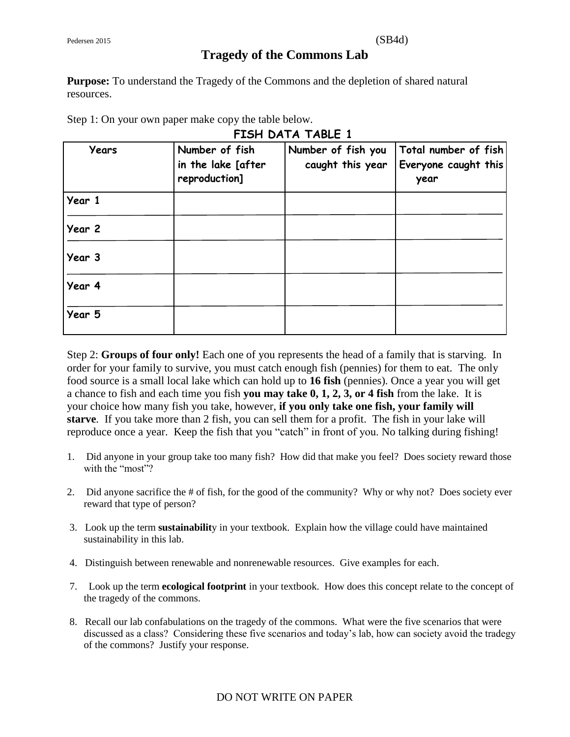# **Tragedy of the Commons Lab**

**FISH DATA TABLE 1** 

**Purpose:** To understand the Tragedy of the Commons and the depletion of shared natural resources.

Step 1: On your own paper make copy the table below.

| <b>Years</b> | Number of fish<br>in the lake [after<br>reproduction] | Number of fish you<br>caught this year | Total number of fish<br>Everyone caught this<br>year |
|--------------|-------------------------------------------------------|----------------------------------------|------------------------------------------------------|
| Year 1       |                                                       |                                        |                                                      |
| Year 2       |                                                       |                                        |                                                      |
| Year 3       |                                                       |                                        |                                                      |
| Year 4       |                                                       |                                        |                                                      |
| Year 5       |                                                       |                                        |                                                      |

Step 2: **Groups of four only!** Each one of you represents the head of a family that is starving. In order for your family to survive, you must catch enough fish (pennies) for them to eat. The only food source is a small local lake which can hold up to **16 fish** (pennies). Once a year you will get a chance to fish and each time you fish **you may take 0, 1, 2, 3, or 4 fish** from the lake. It is your choice how many fish you take, however, **if you only take one fish, your family will starve**. If you take more than 2 fish, you can sell them for a profit. The fish in your lake will reproduce once a year. Keep the fish that you "catch" in front of you. No talking during fishing!

- 1. Did anyone in your group take too many fish? How did that make you feel? Does society reward those with the "most"?
- 2. Did anyone sacrifice the # of fish, for the good of the community? Why or why not? Does society ever reward that type of person?
- 3. Look up the term **sustainabilit**y in your textbook. Explain how the village could have maintained sustainability in this lab.
- 4. Distinguish between renewable and nonrenewable resources. Give examples for each.
- 7. Look up the term **ecological footprint** in your textbook. How does this concept relate to the concept of the tragedy of the commons.
- 8. Recall our lab confabulations on the tragedy of the commons. What were the five scenarios that were discussed as a class? Considering these five scenarios and today's lab, how can society avoid the tradegy of the commons? Justify your response.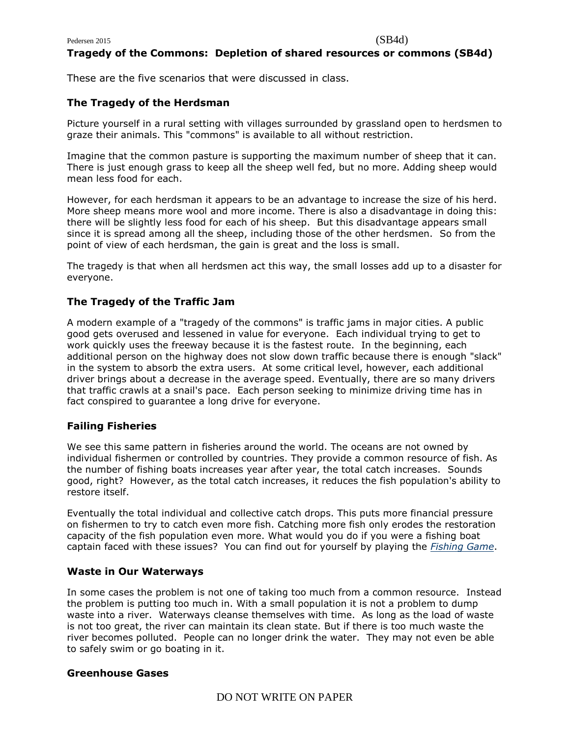# **Tragedy of the Commons: Depletion of shared resources or commons (SB4d)**

These are the five scenarios that were discussed in class.

#### **The Tragedy of the Herdsman**

Picture yourself in a rural setting with villages surrounded by grassland open to herdsmen to graze their animals. This "commons" is available to all without restriction.

Imagine that the common pasture is supporting the maximum number of sheep that it can. There is just enough grass to keep all the sheep well fed, but no more. Adding sheep would mean less food for each.

However, for each herdsman it appears to be an advantage to increase the size of his herd. More sheep means more wool and more income. There is also a disadvantage in doing this: there will be slightly less food for each of his sheep. But this disadvantage appears small since it is spread among all the sheep, including those of the other herdsmen. So from the point of view of each herdsman, the gain is great and the loss is small.

The tragedy is that when all herdsmen act this way, the small losses add up to a disaster for everyone.

# **The Tragedy of the Traffic Jam**

A modern example of a "tragedy of the commons" is traffic jams in major cities. A public good gets overused and lessened in value for everyone. Each individual trying to get to work quickly uses the freeway because it is the fastest route. In the beginning, each additional person on the highway does not slow down traffic because there is enough "slack" in the system to absorb the extra users. At some critical level, however, each additional driver brings about a decrease in the average speed. Eventually, there are so many drivers that traffic crawls at a snail's pace. Each person seeking to minimize driving time has in fact conspired to guarantee a long drive for everyone.

### **Failing Fisheries**

We see this same pattern in fisheries around the world. The oceans are not owned by individual fishermen or controlled by countries. They provide a common resource of fish. As the number of fishing boats increases year after year, the total catch increases. Sounds good, right? However, as the total catch increases, it reduces the fish population's ability to restore itself.

Eventually the total individual and collective catch drops. This puts more financial pressure on fishermen to try to catch even more fish. Catching more fish only erodes the restoration capacity of the fish population even more. What would you do if you were a fishing boat captain faced with these issues? You can find out for yourself by playing the *[Fishing Game](https://www.planetseed.com/files/flash/science/features/earth/climate/en/toc/index.htm?width=750&height=580&popup=true)*.

# **Waste in Our Waterways**

In some cases the problem is not one of taking too much from a common resource. Instead the problem is putting too much in. With a small population it is not a problem to dump waste into a river. Waterways cleanse themselves with time. As long as the load of waste is not too great, the river can maintain its clean state. But if there is too much waste the river becomes polluted. People can no longer drink the water. They may not even be able to safely swim or go boating in it.

#### **Greenhouse Gases**